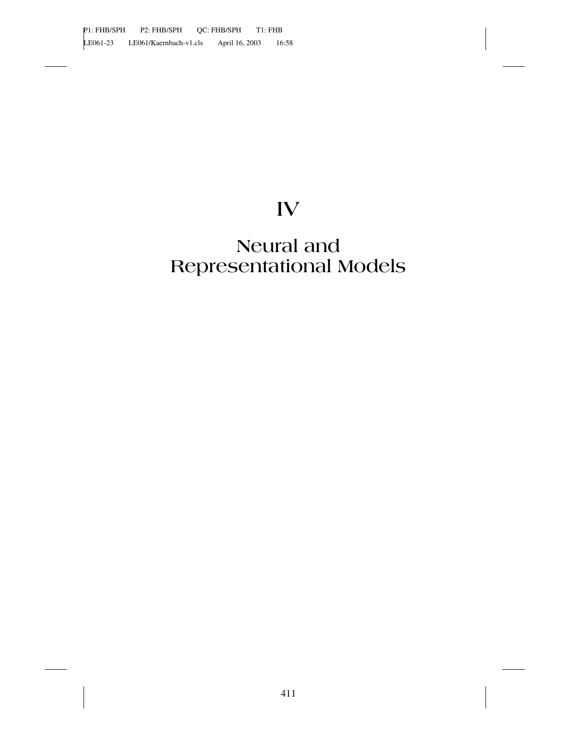# **IV**

# **Neural and Representational Models**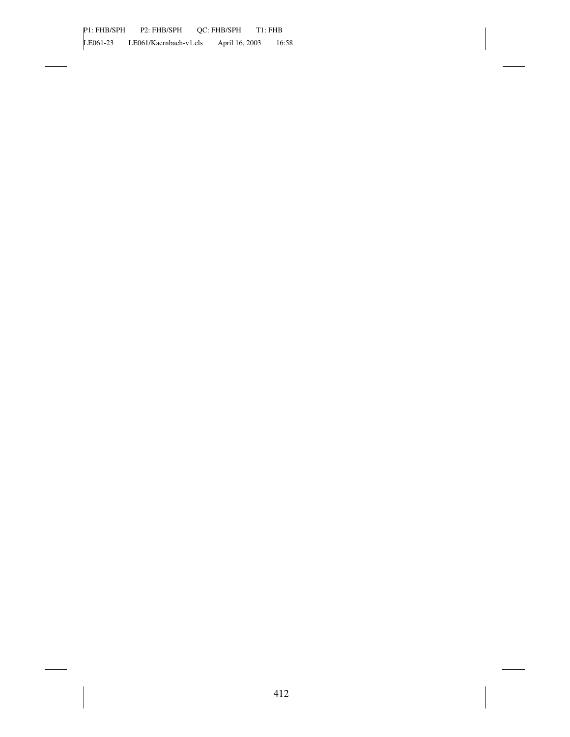### P1: FHB/SPH P2: FHB/SPH QC: FHB/SPH T1: FHB LE061-23 LE061/Kaernbach-v1.cls April 16, 2003 16:58

 $\overline{\phantom{a}}$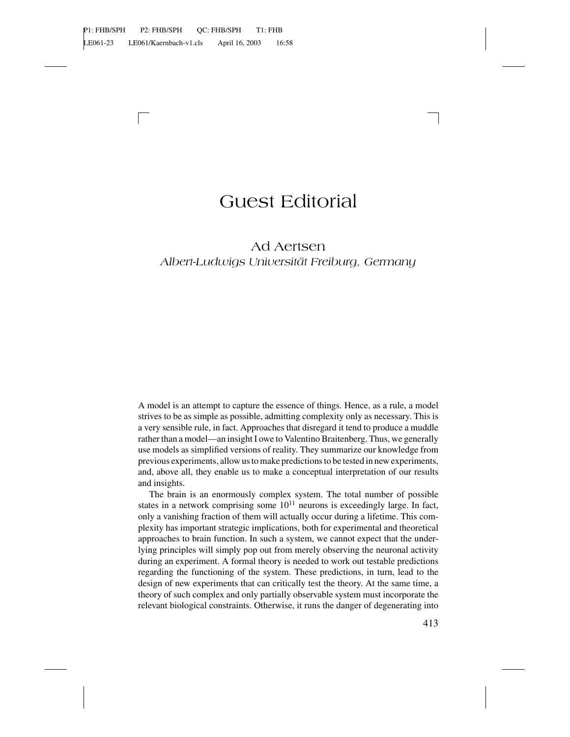## Guest Editorial

## Ad Aertsen *Albert-Ludwigs Universität Freiburg, Germany*

A model is an attempt to capture the essence of things. Hence, as a rule, a model strives to be as simple as possible, admitting complexity only as necessary. This is a very sensible rule, in fact. Approaches that disregard it tend to produce a muddle rather than a model—an insight I owe to Valentino Braitenberg. Thus, we generally use models as simplified versions of reality. They summarize our knowledge from previous experiments, allow us to make predictions to be tested in new experiments, and, above all, they enable us to make a conceptual interpretation of our results and insights.

The brain is an enormously complex system. The total number of possible states in a network comprising some  $10^{11}$  neurons is exceedingly large. In fact, only a vanishing fraction of them will actually occur during a lifetime. This complexity has important strategic implications, both for experimental and theoretical approaches to brain function. In such a system, we cannot expect that the underlying principles will simply pop out from merely observing the neuronal activity during an experiment. A formal theory is needed to work out testable predictions regarding the functioning of the system. These predictions, in turn, lead to the design of new experiments that can critically test the theory. At the same time, a theory of such complex and only partially observable system must incorporate the relevant biological constraints. Otherwise, it runs the danger of degenerating into

413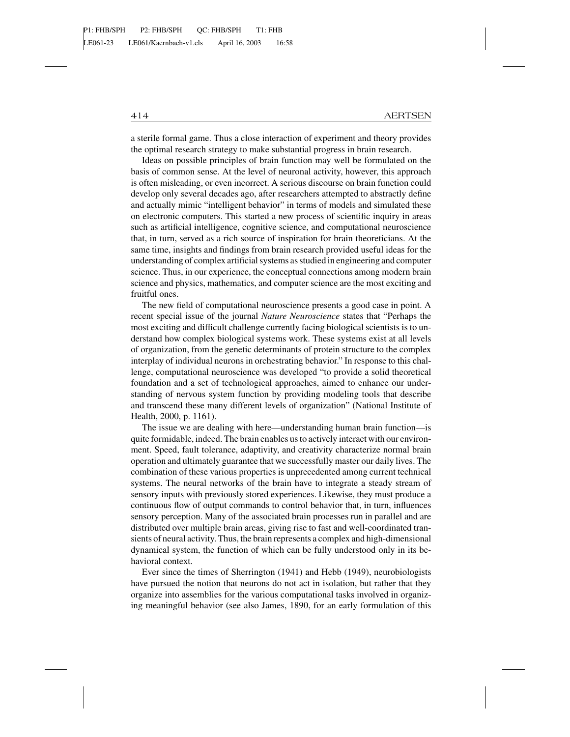a sterile formal game. Thus a close interaction of experiment and theory provides the optimal research strategy to make substantial progress in brain research.

Ideas on possible principles of brain function may well be formulated on the basis of common sense. At the level of neuronal activity, however, this approach is often misleading, or even incorrect. A serious discourse on brain function could develop only several decades ago, after researchers attempted to abstractly define and actually mimic "intelligent behavior" in terms of models and simulated these on electronic computers. This started a new process of scientific inquiry in areas such as artificial intelligence, cognitive science, and computational neuroscience that, in turn, served as a rich source of inspiration for brain theoreticians. At the same time, insights and findings from brain research provided useful ideas for the understanding of complex artificial systems as studied in engineering and computer science. Thus, in our experience, the conceptual connections among modern brain science and physics, mathematics, and computer science are the most exciting and fruitful ones.

The new field of computational neuroscience presents a good case in point. A recent special issue of the journal *Nature Neuroscience* states that "Perhaps the most exciting and difficult challenge currently facing biological scientists is to understand how complex biological systems work. These systems exist at all levels of organization, from the genetic determinants of protein structure to the complex interplay of individual neurons in orchestrating behavior." In response to this challenge, computational neuroscience was developed "to provide a solid theoretical foundation and a set of technological approaches, aimed to enhance our understanding of nervous system function by providing modeling tools that describe and transcend these many different levels of organization" (National Institute of Health, 2000, p. 1161).

The issue we are dealing with here—understanding human brain function—is quite formidable, indeed. The brain enables us to actively interact with our environment. Speed, fault tolerance, adaptivity, and creativity characterize normal brain operation and ultimately guarantee that we successfully master our daily lives. The combination of these various properties is unprecedented among current technical systems. The neural networks of the brain have to integrate a steady stream of sensory inputs with previously stored experiences. Likewise, they must produce a continuous flow of output commands to control behavior that, in turn, influences sensory perception. Many of the associated brain processes run in parallel and are distributed over multiple brain areas, giving rise to fast and well-coordinated transients of neural activity. Thus, the brain represents a complex and high-dimensional dynamical system, the function of which can be fully understood only in its behavioral context.

Ever since the times of Sherrington (1941) and Hebb (1949), neurobiologists have pursued the notion that neurons do not act in isolation, but rather that they organize into assemblies for the various computational tasks involved in organizing meaningful behavior (see also James, 1890, for an early formulation of this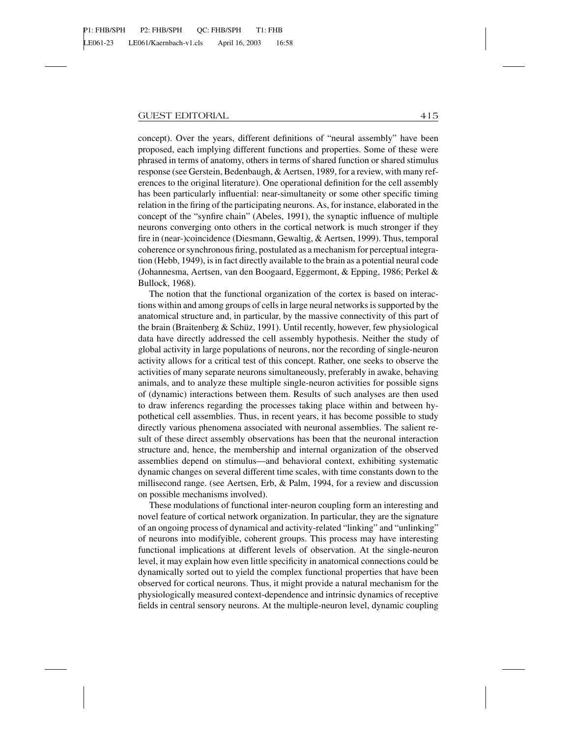#### GUEST EDITORIAL 15

concept). Over the years, different definitions of "neural assembly" have been proposed, each implying different functions and properties. Some of these were phrased in terms of anatomy, others in terms of shared function or shared stimulus response (see Gerstein, Bedenbaugh, & Aertsen, 1989, for a review, with many references to the original literature). One operational definition for the cell assembly has been particularly influential: near-simultaneity or some other specific timing relation in the firing of the participating neurons. As, for instance, elaborated in the concept of the "synfire chain" (Abeles, 1991), the synaptic influence of multiple neurons converging onto others in the cortical network is much stronger if they fire in (near-)coincidence (Diesmann, Gewaltig, & Aertsen, 1999). Thus, temporal coherence or synchronous firing, postulated as a mechanism for perceptual integration (Hebb, 1949), is in fact directly available to the brain as a potential neural code (Johannesma, Aertsen, van den Boogaard, Eggermont, & Epping, 1986; Perkel & Bullock, 1968).

The notion that the functional organization of the cortex is based on interactions within and among groups of cells in large neural networks is supported by the anatomical structure and, in particular, by the massive connectivity of this part of the brain (Braitenberg & Schüz, 1991). Until recently, however, few physiological data have directly addressed the cell assembly hypothesis. Neither the study of global activity in large populations of neurons, nor the recording of single-neuron activity allows for a critical test of this concept. Rather, one seeks to observe the activities of many separate neurons simultaneously, preferably in awake, behaving animals, and to analyze these multiple single-neuron activities for possible signs of (dynamic) interactions between them. Results of such analyses are then used to draw inferencs regarding the processes taking place within and between hypothetical cell assemblies. Thus, in recent years, it has become possible to study directly various phenomena associated with neuronal assemblies. The salient result of these direct assembly observations has been that the neuronal interaction structure and, hence, the membership and internal organization of the observed assemblies depend on stimulus—and behavioral context, exhibiting systematic dynamic changes on several different time scales, with time constants down to the millisecond range. (see Aertsen, Erb, & Palm, 1994, for a review and discussion on possible mechanisms involved).

These modulations of functional inter-neuron coupling form an interesting and novel feature of cortical network organization. In particular, they are the signature of an ongoing process of dynamical and activity-related "linking" and "unlinking" of neurons into modifyible, coherent groups. This process may have interesting functional implications at different levels of observation. At the single-neuron level, it may explain how even little specificity in anatomical connections could be dynamically sorted out to yield the complex functional properties that have been observed for cortical neurons. Thus, it might provide a natural mechanism for the physiologically measured context-dependence and intrinsic dynamics of receptive fields in central sensory neurons. At the multiple-neuron level, dynamic coupling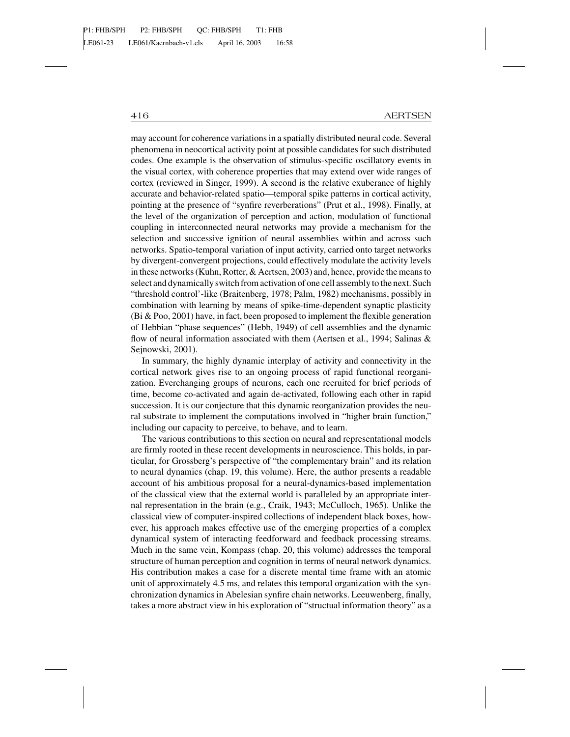may account for coherence variations in a spatially distributed neural code. Several phenomena in neocortical activity point at possible candidates for such distributed codes. One example is the observation of stimulus-specific oscillatory events in the visual cortex, with coherence properties that may extend over wide ranges of cortex (reviewed in Singer, 1999). A second is the relative exuberance of highly accurate and behavior-related spatio—temporal spike patterns in cortical activity, pointing at the presence of "synfire reverberations" (Prut et al., 1998). Finally, at the level of the organization of perception and action, modulation of functional coupling in interconnected neural networks may provide a mechanism for the selection and successive ignition of neural assemblies within and across such networks. Spatio-temporal variation of input activity, carried onto target networks by divergent-convergent projections, could effectively modulate the activity levels in these networks (Kuhn, Rotter, & Aertsen, 2003) and, hence, provide the means to select and dynamically switch from activation of one cell assembly to the next. Such "threshold control'-like (Braitenberg, 1978; Palm, 1982) mechanisms, possibly in combination with learning by means of spike-time-dependent synaptic plasticity (Bi & Poo, 2001) have, in fact, been proposed to implement the flexible generation of Hebbian "phase sequences" (Hebb, 1949) of cell assemblies and the dynamic flow of neural information associated with them (Aertsen et al., 1994; Salinas & Sejnowski, 2001).

In summary, the highly dynamic interplay of activity and connectivity in the cortical network gives rise to an ongoing process of rapid functional reorganization. Everchanging groups of neurons, each one recruited for brief periods of time, become co-activated and again de-activated, following each other in rapid succession. It is our conjecture that this dynamic reorganization provides the neural substrate to implement the computations involved in "higher brain function," including our capacity to perceive, to behave, and to learn.

The various contributions to this section on neural and representational models are firmly rooted in these recent developments in neuroscience. This holds, in particular, for Grossberg's perspective of "the complementary brain" and its relation to neural dynamics (chap. 19, this volume). Here, the author presents a readable account of his ambitious proposal for a neural-dynamics-based implementation of the classical view that the external world is paralleled by an appropriate internal representation in the brain (e.g., Craik, 1943; McCulloch, 1965). Unlike the classical view of computer-inspired collections of independent black boxes, however, his approach makes effective use of the emerging properties of a complex dynamical system of interacting feedforward and feedback processing streams. Much in the same vein, Kompass (chap. 20, this volume) addresses the temporal structure of human perception and cognition in terms of neural network dynamics. His contribution makes a case for a discrete mental time frame with an atomic unit of approximately 4.5 ms, and relates this temporal organization with the synchronization dynamics in Abelesian synfire chain networks. Leeuwenberg, finally, takes a more abstract view in his exploration of "structual information theory" as a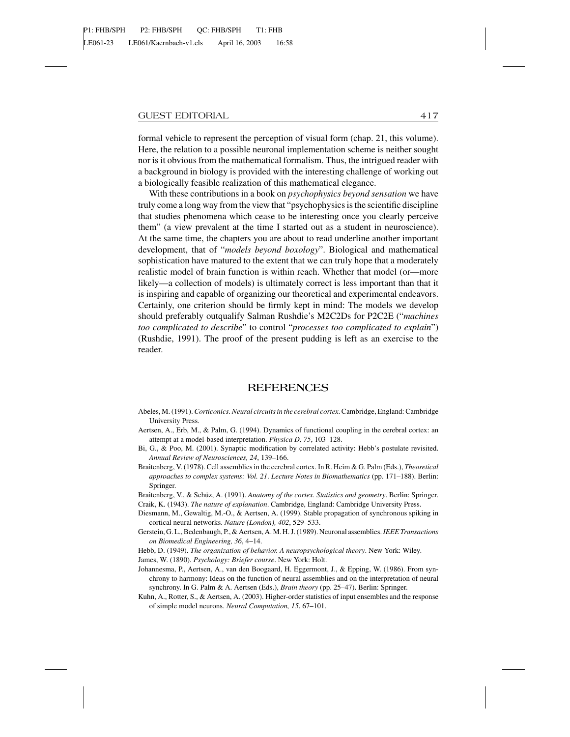#### GUEST EDITORIAL 17

formal vehicle to represent the perception of visual form (chap. 21, this volume). Here, the relation to a possible neuronal implementation scheme is neither sought nor is it obvious from the mathematical formalism. Thus, the intrigued reader with a background in biology is provided with the interesting challenge of working out a biologically feasible realization of this mathematical elegance.

With these contributions in a book on *psychophysics beyond sensation* we have truly come a long way from the view that "psychophysics is the scientific discipline that studies phenomena which cease to be interesting once you clearly perceive them" (a view prevalent at the time I started out as a student in neuroscience). At the same time, the chapters you are about to read underline another important development, that of "*models beyond boxology*". Biological and mathematical sophistication have matured to the extent that we can truly hope that a moderately realistic model of brain function is within reach. Whether that model (or—more likely—a collection of models) is ultimately correct is less important than that it is inspiring and capable of organizing our theoretical and experimental endeavors. Certainly, one criterion should be firmly kept in mind: The models we develop should preferably outqualify Salman Rushdie's M2C2Ds for P2C2E ("*machines too complicated to describe*" to control "*processes too complicated to explain*") (Rushdie, 1991). The proof of the present pudding is left as an exercise to the reader.

### **REFERENCES**

- Abeles, M. (1991).*Corticonics. Neural circuits in the cerebral cortex*. Cambridge, England: Cambridge University Press.
- Aertsen, A., Erb, M., & Palm, G. (1994). Dynamics of functional coupling in the cerebral cortex: an attempt at a model-based interpretation. *Physica D, 75*, 103–128.
- Bi, G., & Poo, M. (2001). Synaptic modification by correlated activity: Hebb's postulate revisited. *Annual Review of Neurosciences, 24*, 139–166.
- Braitenberg, V. (1978). Cell assemblies in the cerebral cortex. In R. Heim & G. Palm (Eds.), *Theoretical approaches to complex systems: Vol. 21*. *Lecture Notes in Biomathematics* (pp. 171–188). Berlin: Springer.

Braitenberg, V., & Schüz, A. (1991). *Anatomy of the cortex. Statistics and geometry*. Berlin: Springer. Craik, K. (1943). *The nature of explanation*. Cambridge, England: Cambridge University Press.

Diesmann, M., Gewaltig, M.-O., & Aertsen, A. (1999). Stable propagation of synchronous spiking in cortical neural networks. *Nature (London), 402*, 529–533.

- Gerstein, G. L., Bedenbaugh, P., & Aertsen, A. M. H. J. (1989). Neuronal assemblies.*IEEE Transactions on Biomedical Engineering, 36*, 4–14.
- Hebb, D. (1949). *The organization of behavior. A neuropsychological theory*. New York: Wiley.

James, W. (1890). *Psychology: Briefer course*. New York: Holt.

Johannesma, P., Aertsen, A., van den Boogaard, H. Eggermont, J., & Epping, W. (1986). From synchrony to harmony: Ideas on the function of neural assemblies and on the interpretation of neural synchrony. In G. Palm & A. Aertsen (Eds.), *Brain theory* (pp. 25–47). Berlin: Springer.

Kuhn, A., Rotter, S., & Aertsen, A. (2003). Higher-order statistics of input ensembles and the response of simple model neurons. *Neural Computation, 15*, 67–101.